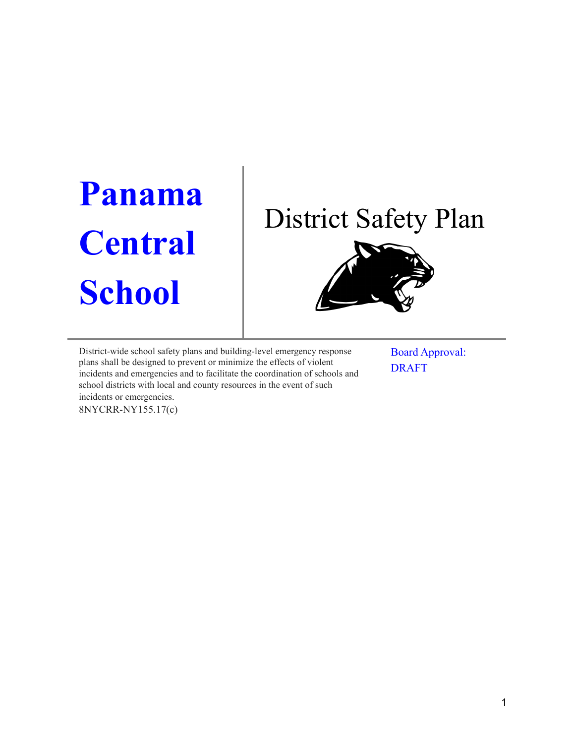# **Panama Central School**

## District Safety Plan



District-wide school safety plans and building-level emergency response plans shall be designed to prevent or minimize the effects of violent incidents and emergencies and to facilitate the coordination of schools and school districts with local and county resources in the event of such incidents or emergencies. 8NYCRR-NY155.17(c)

Board Approval: DRAFT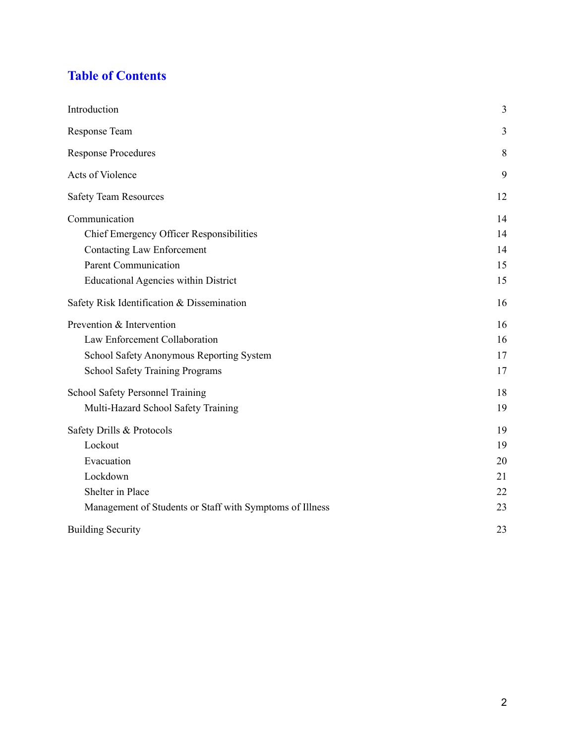## **Table of Contents**

| Introduction                                             | 3  |
|----------------------------------------------------------|----|
| Response Team                                            | 3  |
| <b>Response Procedures</b>                               | 8  |
| Acts of Violence                                         | 9  |
| <b>Safety Team Resources</b>                             | 12 |
| Communication                                            | 14 |
| <b>Chief Emergency Officer Responsibilities</b>          | 14 |
| <b>Contacting Law Enforcement</b>                        | 14 |
| <b>Parent Communication</b>                              | 15 |
| <b>Educational Agencies within District</b>              | 15 |
| Safety Risk Identification & Dissemination               | 16 |
| Prevention & Intervention                                | 16 |
| Law Enforcement Collaboration                            | 16 |
| School Safety Anonymous Reporting System                 | 17 |
| <b>School Safety Training Programs</b>                   | 17 |
| School Safety Personnel Training                         | 18 |
| Multi-Hazard School Safety Training                      | 19 |
| Safety Drills & Protocols                                | 19 |
| Lockout                                                  | 19 |
| Evacuation                                               | 20 |
| Lockdown                                                 | 21 |
| Shelter in Place                                         | 22 |
| Management of Students or Staff with Symptoms of Illness | 23 |
| <b>Building Security</b>                                 | 23 |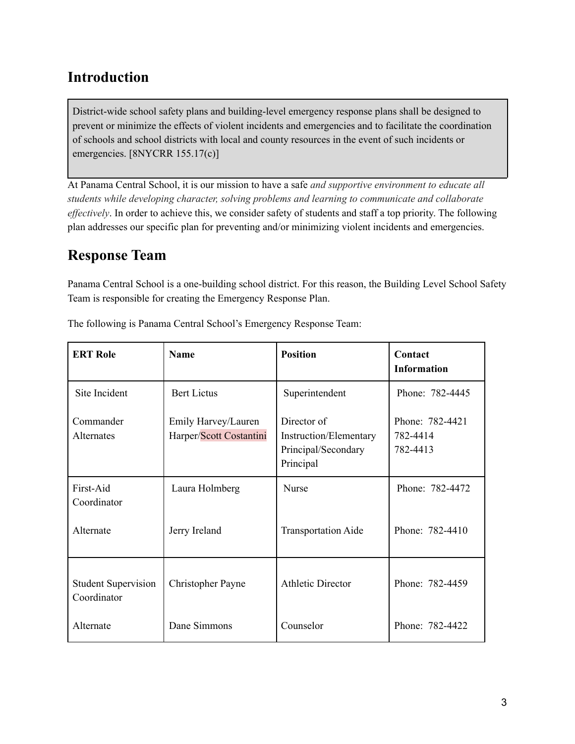## <span id="page-2-0"></span>**Introduction**

District-wide school safety plans and building-level emergency response plans shall be designed to prevent or minimize the effects of violent incidents and emergencies and to facilitate the coordination of schools and school districts with local and county resources in the event of such incidents or emergencies. [8NYCRR 155.17(c)]

At Panama Central School, it is our mission to have a safe *and supportive environment to educate all students while developing character, solving problems and learning to communicate and collaborate effectively*. In order to achieve this, we consider safety of students and staff a top priority. The following plan addresses our specific plan for preventing and/or minimizing violent incidents and emergencies.

## <span id="page-2-1"></span>**Response Team**

Panama Central School is a one-building school district. For this reason, the Building Level School Safety Team is responsible for creating the Emergency Response Plan.

| <b>ERT Role</b>                           | <b>Name</b>                                    | <b>Position</b>                                                           | Contact<br><b>Information</b>           |
|-------------------------------------------|------------------------------------------------|---------------------------------------------------------------------------|-----------------------------------------|
| Site Incident                             | <b>Bert Lictus</b>                             | Superintendent                                                            | Phone: 782-4445                         |
| Commander<br>Alternates                   | Emily Harvey/Lauren<br>Harper/Scott Costantini | Director of<br>Instruction/Elementary<br>Principal/Secondary<br>Principal | Phone: 782-4421<br>782-4414<br>782-4413 |
| First-Aid<br>Coordinator                  | Laura Holmberg                                 | <b>Nurse</b>                                                              | Phone: 782-4472                         |
| Alternate                                 | Jerry Ireland                                  | <b>Transportation Aide</b>                                                | Phone: 782-4410                         |
| <b>Student Supervision</b><br>Coordinator | Christopher Payne                              | <b>Athletic Director</b>                                                  | Phone: 782-4459                         |
| Alternate                                 | Dane Simmons                                   | Counselor                                                                 | Phone: 782-4422                         |

The following is Panama Central School's Emergency Response Team: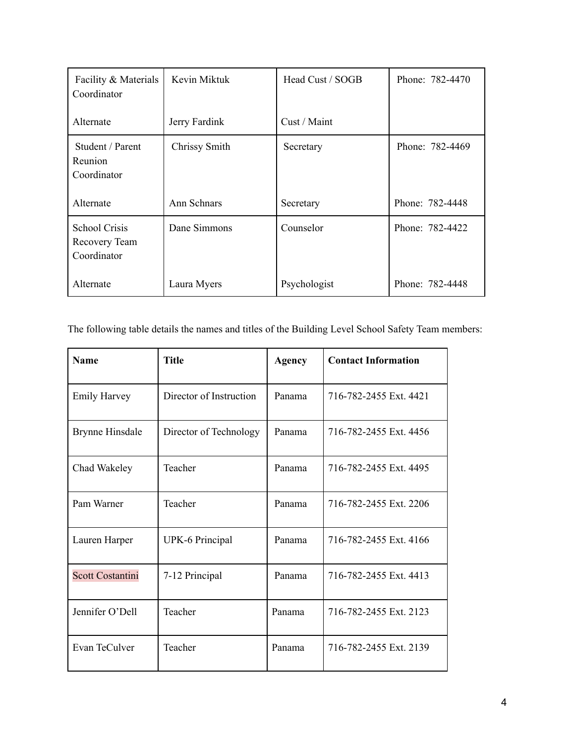| Facility & Materials<br>Coordinator                  | Kevin Miktuk  | Head Cust / SOGB | Phone: 782-4470 |
|------------------------------------------------------|---------------|------------------|-----------------|
| Alternate                                            | Jerry Fardink | Cust / Maint     |                 |
| Student / Parent<br>Reunion<br>Coordinator           | Chrissy Smith | Secretary        | Phone: 782-4469 |
| Alternate                                            | Ann Schnars   | Secretary        | Phone: 782-4448 |
| <b>School Crisis</b><br>Recovery Team<br>Coordinator | Dane Simmons  | Counselor        | Phone: 782-4422 |
| Alternate                                            | Laura Myers   | Psychologist     | Phone: 782-4448 |

The following table details the names and titles of the Building Level School Safety Team members:

| <b>Name</b>             | <b>Title</b>            | <b>Agency</b> | <b>Contact Information</b> |
|-------------------------|-------------------------|---------------|----------------------------|
| <b>Emily Harvey</b>     | Director of Instruction | Panama        | 716-782-2455 Ext. 4421     |
| <b>Brynne Hinsdale</b>  | Director of Technology  | Panama        | 716-782-2455 Ext. 4456     |
| Chad Wakeley            | Teacher                 | Panama        | 716-782-2455 Ext. 4495     |
| Pam Warner              | Teacher                 | Panama        | 716-782-2455 Ext. 2206     |
| Lauren Harper           | <b>UPK-6 Principal</b>  | Panama        | 716-782-2455 Ext. 4166     |
| <b>Scott Costantini</b> | 7-12 Principal          | Panama        | 716-782-2455 Ext. 4413     |
| Jennifer O'Dell         | Teacher                 | Panama        | 716-782-2455 Ext. 2123     |
| Evan TeCulver           | Teacher                 | Panama        | 716-782-2455 Ext. 2139     |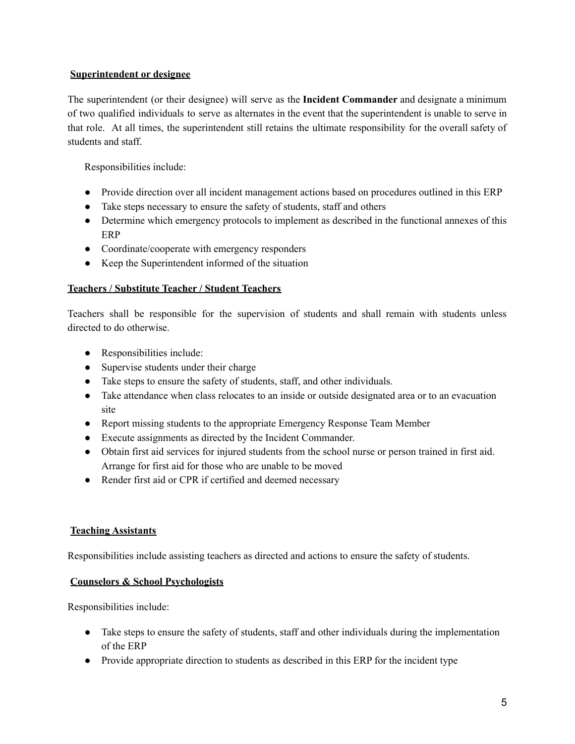#### **Superintendent or designee**

The superintendent (or their designee) will serve as the **Incident Commander** and designate a minimum of two qualified individuals to serve as alternates in the event that the superintendent is unable to serve in that role. At all times, the superintendent still retains the ultimate responsibility for the overall safety of students and staff.

Responsibilities include:

- Provide direction over all incident management actions based on procedures outlined in this ERP
- Take steps necessary to ensure the safety of students, staff and others
- Determine which emergency protocols to implement as described in the functional annexes of this ERP
- Coordinate/cooperate with emergency responders
- Keep the Superintendent informed of the situation

#### **Teachers / Substitute Teacher / Student Teachers**

Teachers shall be responsible for the supervision of students and shall remain with students unless directed to do otherwise.

- Responsibilities include:
- Supervise students under their charge
- Take steps to ensure the safety of students, staff, and other individuals.
- Take attendance when class relocates to an inside or outside designated area or to an evacuation site
- Report missing students to the appropriate Emergency Response Team Member
- Execute assignments as directed by the Incident Commander.
- Obtain first aid services for injured students from the school nurse or person trained in first aid. Arrange for first aid for those who are unable to be moved
- Render first aid or CPR if certified and deemed necessary

#### **Teaching Assistants**

Responsibilities include assisting teachers as directed and actions to ensure the safety of students.

#### **Counselors & School Psychologists**

Responsibilities include:

- Take steps to ensure the safety of students, staff and other individuals during the implementation of the ERP
- Provide appropriate direction to students as described in this ERP for the incident type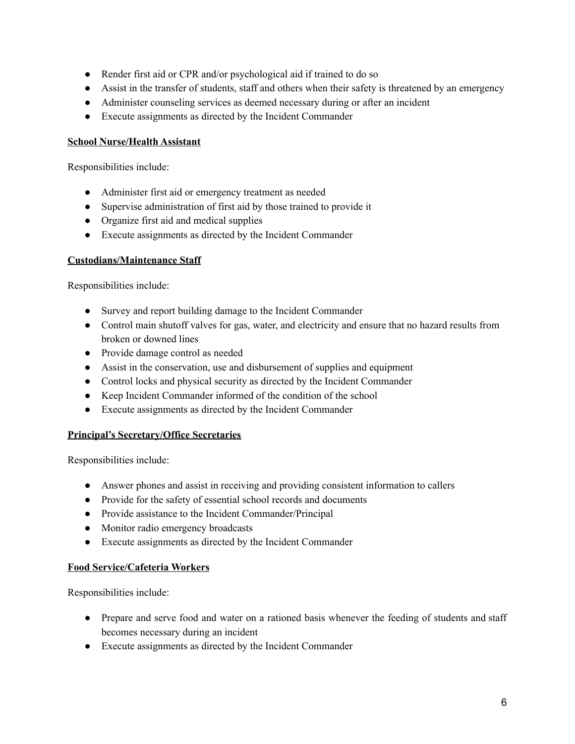- Render first aid or CPR and/or psychological aid if trained to do so
- Assist in the transfer of students, staff and others when their safety is threatened by an emergency
- Administer counseling services as deemed necessary during or after an incident
- Execute assignments as directed by the Incident Commander

#### **School Nurse/Health Assistant**

Responsibilities include:

- Administer first aid or emergency treatment as needed
- Supervise administration of first aid by those trained to provide it
- Organize first aid and medical supplies
- Execute assignments as directed by the Incident Commander

#### **Custodians/Maintenance Staff**

Responsibilities include:

- Survey and report building damage to the Incident Commander
- Control main shutoff valves for gas, water, and electricity and ensure that no hazard results from broken or downed lines
- Provide damage control as needed
- Assist in the conservation, use and disbursement of supplies and equipment
- Control locks and physical security as directed by the Incident Commander
- Keep Incident Commander informed of the condition of the school
- Execute assignments as directed by the Incident Commander

#### **Principal's Secretary/Office Secretaries**

Responsibilities include:

- Answer phones and assist in receiving and providing consistent information to callers
- Provide for the safety of essential school records and documents
- Provide assistance to the Incident Commander/Principal
- Monitor radio emergency broadcasts
- Execute assignments as directed by the Incident Commander

#### **Food Service/Cafeteria Workers**

Responsibilities include:

- Prepare and serve food and water on a rationed basis whenever the feeding of students and staff becomes necessary during an incident
- Execute assignments as directed by the Incident Commander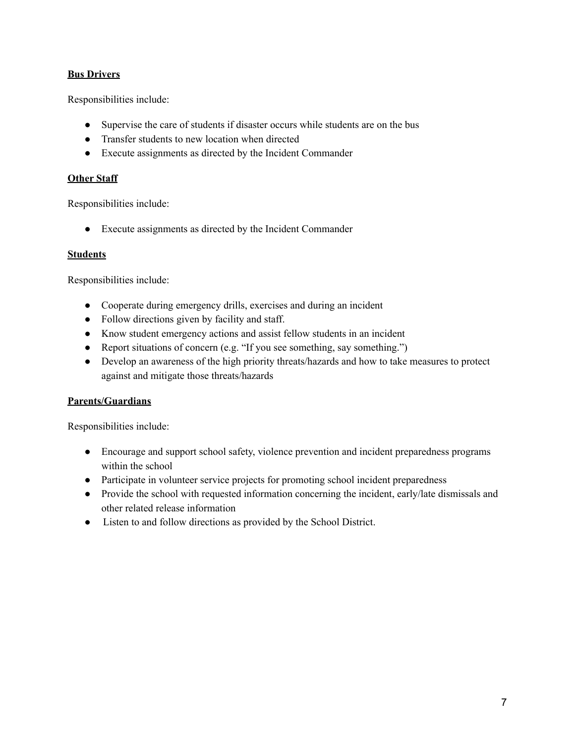#### **Bus Drivers**

Responsibilities include:

- Supervise the care of students if disaster occurs while students are on the bus
- Transfer students to new location when directed
- Execute assignments as directed by the Incident Commander

#### **Other Staff**

Responsibilities include:

● Execute assignments as directed by the Incident Commander

#### **Students**

Responsibilities include:

- Cooperate during emergency drills, exercises and during an incident
- Follow directions given by facility and staff.
- Know student emergency actions and assist fellow students in an incident
- Report situations of concern (e.g. "If you see something, say something.")
- Develop an awareness of the high priority threats/hazards and how to take measures to protect against and mitigate those threats/hazards

#### **Parents/Guardians**

Responsibilities include:

- Encourage and support school safety, violence prevention and incident preparedness programs within the school
- Participate in volunteer service projects for promoting school incident preparedness
- Provide the school with requested information concerning the incident, early/late dismissals and other related release information
- Listen to and follow directions as provided by the School District.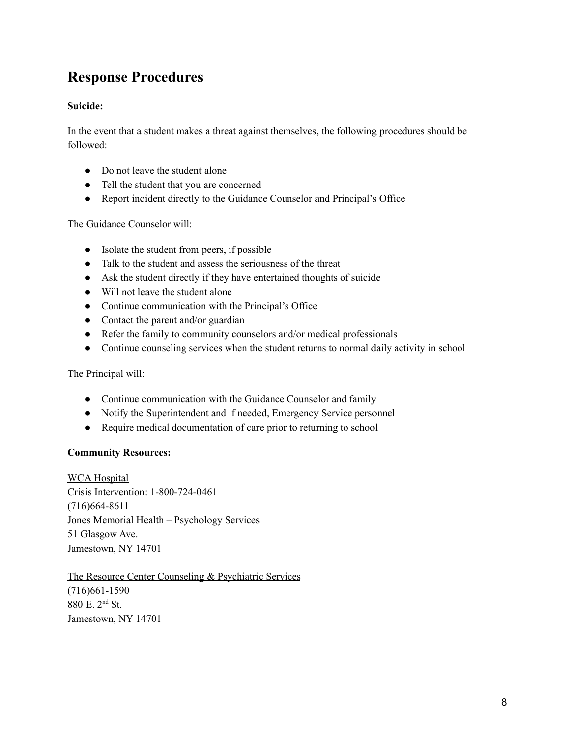## <span id="page-7-0"></span>**Response Procedures**

## **Suicide:**

In the event that a student makes a threat against themselves, the following procedures should be followed:

- Do not leave the student alone
- Tell the student that you are concerned
- Report incident directly to the Guidance Counselor and Principal's Office

The Guidance Counselor will:

- Isolate the student from peers, if possible
- Talk to the student and assess the seriousness of the threat
- Ask the student directly if they have entertained thoughts of suicide
- Will not leave the student alone
- Continue communication with the Principal's Office
- Contact the parent and/or guardian
- Refer the family to community counselors and/or medical professionals
- Continue counseling services when the student returns to normal daily activity in school

The Principal will:

- Continue communication with the Guidance Counselor and family
- Notify the Superintendent and if needed, Emergency Service personnel
- Require medical documentation of care prior to returning to school

#### **Community Resources:**

WCA Hospital Crisis Intervention: 1-800-724-0461 (716)664-8611 Jones Memorial Health – Psychology Services 51 Glasgow Ave. Jamestown, NY 14701

The Resource Center Counseling & Psychiatric Services (716)661-1590 880 E. 2 nd St. Jamestown, NY 14701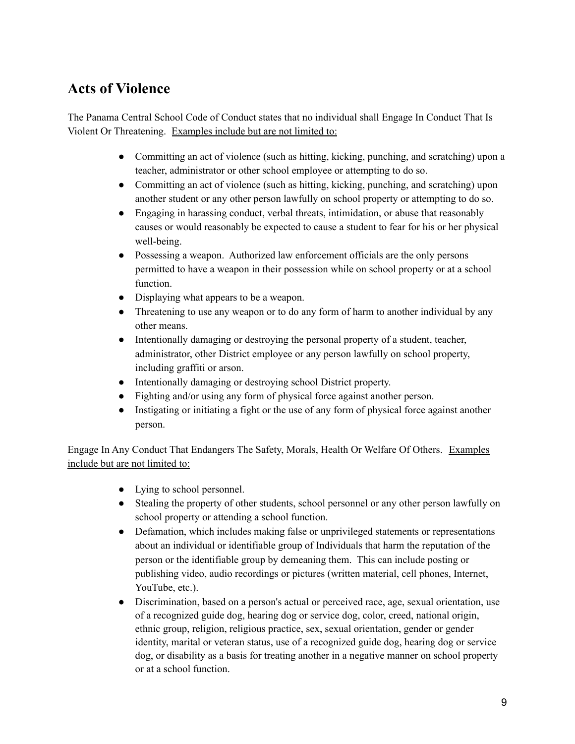## <span id="page-8-0"></span>**Acts of Violence**

The Panama Central School Code of Conduct states that no individual shall Engage In Conduct That Is Violent Or Threatening. Examples include but are not limited to:

- Committing an act of violence (such as hitting, kicking, punching, and scratching) upon a teacher, administrator or other school employee or attempting to do so.
- Committing an act of violence (such as hitting, kicking, punching, and scratching) upon another student or any other person lawfully on school property or attempting to do so.
- Engaging in harassing conduct, verbal threats, intimidation, or abuse that reasonably causes or would reasonably be expected to cause a student to fear for his or her physical well-being.
- Possessing a weapon. Authorized law enforcement officials are the only persons permitted to have a weapon in their possession while on school property or at a school function.
- Displaying what appears to be a weapon.
- Threatening to use any weapon or to do any form of harm to another individual by any other means.
- Intentionally damaging or destroying the personal property of a student, teacher, administrator, other District employee or any person lawfully on school property, including graffiti or arson.
- Intentionally damaging or destroying school District property.
- Fighting and/or using any form of physical force against another person.
- Instigating or initiating a fight or the use of any form of physical force against another person.

Engage In Any Conduct That Endangers The Safety, Morals, Health Or Welfare Of Others. Examples include but are not limited to:

- Lying to school personnel.
- Stealing the property of other students, school personnel or any other person lawfully on school property or attending a school function.
- Defamation, which includes making false or unprivileged statements or representations about an individual or identifiable group of Individuals that harm the reputation of the person or the identifiable group by demeaning them. This can include posting or publishing video, audio recordings or pictures (written material, cell phones, Internet, YouTube, etc.).
- Discrimination, based on a person's actual or perceived race, age, sexual orientation, use of a recognized guide dog, hearing dog or service dog, color, creed, national origin, ethnic group, religion, religious practice, sex, sexual orientation, gender or gender identity, marital or veteran status, use of a recognized guide dog, hearing dog or service dog, or disability as a basis for treating another in a negative manner on school property or at a school function.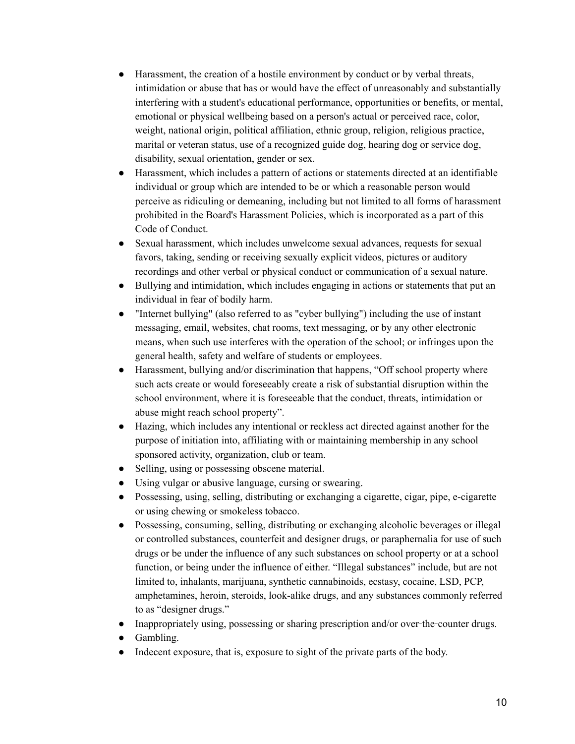- Harassment, the creation of a hostile environment by conduct or by verbal threats, intimidation or abuse that has or would have the effect of unreasonably and substantially interfering with a student's educational performance, opportunities or benefits, or mental, emotional or physical wellbeing based on a person's actual or perceived race, color, weight, national origin, political affiliation, ethnic group, religion, religious practice, marital or veteran status, use of a recognized guide dog, hearing dog or service dog, disability, sexual orientation, gender or sex.
- Harassment, which includes a pattern of actions or statements directed at an identifiable individual or group which are intended to be or which a reasonable person would perceive as ridiculing or demeaning, including but not limited to all forms of harassment prohibited in the Board's Harassment Policies, which is incorporated as a part of this Code of Conduct.
- Sexual harassment, which includes unwelcome sexual advances, requests for sexual favors, taking, sending or receiving sexually explicit videos, pictures or auditory recordings and other verbal or physical conduct or communication of a sexual nature.
- Bullying and intimidation, which includes engaging in actions or statements that put an individual in fear of bodily harm.
- "Internet bullying" (also referred to as "cyber bullying") including the use of instant messaging, email, websites, chat rooms, text messaging, or by any other electronic means, when such use interferes with the operation of the school; or infringes upon the general health, safety and welfare of students or employees.
- Harassment, bullying and/or discrimination that happens, "Off school property where such acts create or would foreseeably create a risk of substantial disruption within the school environment, where it is foreseeable that the conduct, threats, intimidation or abuse might reach school property".
- Hazing, which includes any intentional or reckless act directed against another for the purpose of initiation into, affiliating with or maintaining membership in any school sponsored activity, organization, club or team.
- Selling, using or possessing obscene material.
- Using vulgar or abusive language, cursing or swearing.
- Possessing, using, selling, distributing or exchanging a cigarette, cigar, pipe, e-cigarette or using chewing or smokeless tobacco.
- Possessing, consuming, selling, distributing or exchanging alcoholic beverages or illegal or controlled substances, counterfeit and designer drugs, or paraphernalia for use of such drugs or be under the influence of any such substances on school property or at a school function, or being under the influence of either. "Illegal substances" include, but are not limited to, inhalants, marijuana, synthetic cannabinoids, ecstasy, cocaine, LSD, PCP, amphetamines, heroin, steroids, look-alike drugs, and any substances commonly referred to as "designer drugs."
- Inappropriately using, possessing or sharing prescription and/or over–the–counter drugs.
- Gambling.
- Indecent exposure, that is, exposure to sight of the private parts of the body.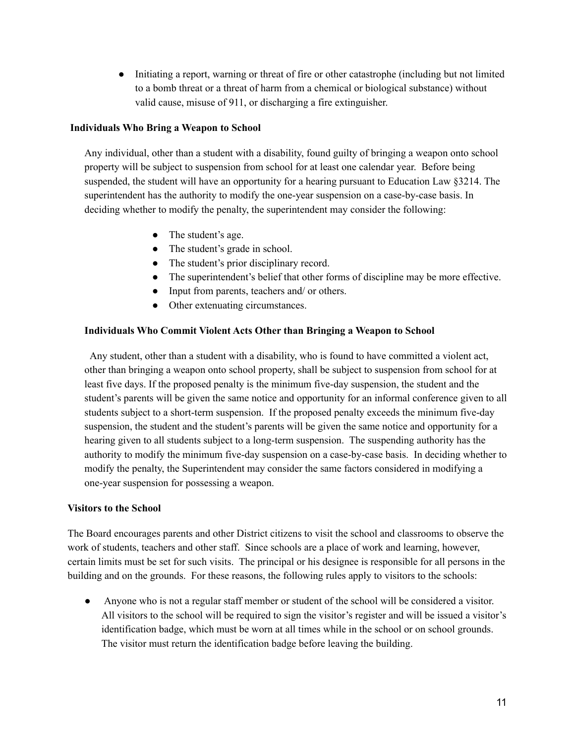● Initiating a report, warning or threat of fire or other catastrophe (including but not limited to a bomb threat or a threat of harm from a chemical or biological substance) without valid cause, misuse of 911, or discharging a fire extinguisher.

#### **Individuals Who Bring a Weapon to School**

Any individual, other than a student with a disability, found guilty of bringing a weapon onto school property will be subject to suspension from school for at least one calendar year. Before being suspended, the student will have an opportunity for a hearing pursuant to Education Law §3214. The superintendent has the authority to modify the one-year suspension on a case-by-case basis. In deciding whether to modify the penalty, the superintendent may consider the following:

- The student's age.
- The student's grade in school.
- The student's prior disciplinary record.
- The superintendent's belief that other forms of discipline may be more effective.
- Input from parents, teachers and/ or others.
- Other extenuating circumstances.

#### **Individuals Who Commit Violent Acts Other than Bringing a Weapon to School**

Any student, other than a student with a disability, who is found to have committed a violent act, other than bringing a weapon onto school property, shall be subject to suspension from school for at least five days. If the proposed penalty is the minimum five-day suspension, the student and the student's parents will be given the same notice and opportunity for an informal conference given to all students subject to a short-term suspension. If the proposed penalty exceeds the minimum five-day suspension, the student and the student's parents will be given the same notice and opportunity for a hearing given to all students subject to a long-term suspension. The suspending authority has the authority to modify the minimum five-day suspension on a case-by-case basis. In deciding whether to modify the penalty, the Superintendent may consider the same factors considered in modifying a one-year suspension for possessing a weapon.

#### **Visitors to the School**

The Board encourages parents and other District citizens to visit the school and classrooms to observe the work of students, teachers and other staff. Since schools are a place of work and learning, however, certain limits must be set for such visits. The principal or his designee is responsible for all persons in the building and on the grounds. For these reasons, the following rules apply to visitors to the schools:

● Anyone who is not a regular staff member or student of the school will be considered a visitor. All visitors to the school will be required to sign the visitor's register and will be issued a visitor's identification badge, which must be worn at all times while in the school or on school grounds. The visitor must return the identification badge before leaving the building.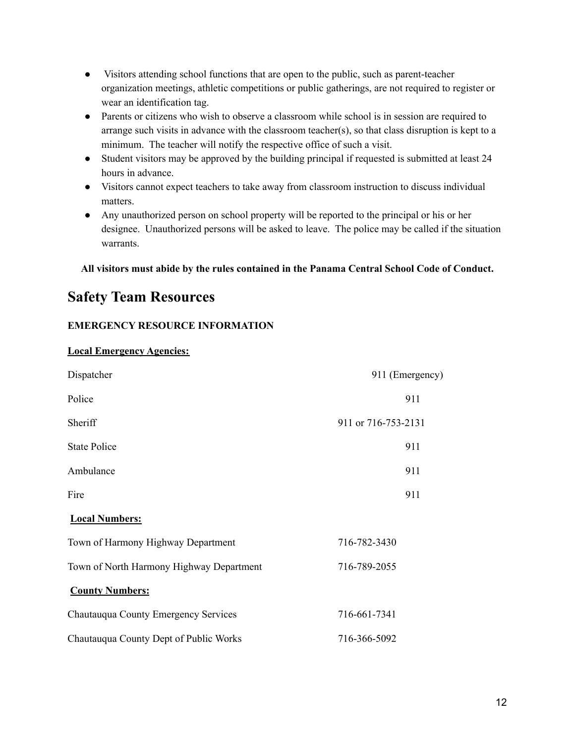- Visitors attending school functions that are open to the public, such as parent-teacher organization meetings, athletic competitions or public gatherings, are not required to register or wear an identification tag.
- Parents or citizens who wish to observe a classroom while school is in session are required to arrange such visits in advance with the classroom teacher(s), so that class disruption is kept to a minimum. The teacher will notify the respective office of such a visit.
- Student visitors may be approved by the building principal if requested is submitted at least 24 hours in advance.
- Visitors cannot expect teachers to take away from classroom instruction to discuss individual matters.
- Any unauthorized person on school property will be reported to the principal or his or her designee. Unauthorized persons will be asked to leave. The police may be called if the situation warrants.

**All visitors must abide by the rules contained in the Panama Central School Code of Conduct.**

## <span id="page-11-0"></span>**Safety Team Resources**

## **EMERGENCY RESOURCE INFORMATION**

## **Local Emergency Agencies:**

| Dispatcher                               | 911 (Emergency)     |
|------------------------------------------|---------------------|
| Police                                   | 911                 |
| Sheriff                                  | 911 or 716-753-2131 |
| <b>State Police</b>                      | 911                 |
| Ambulance                                | 911                 |
| Fire                                     | 911                 |
| <b>Local Numbers:</b>                    |                     |
| Town of Harmony Highway Department       | 716-782-3430        |
| Town of North Harmony Highway Department | 716-789-2055        |
| <b>County Numbers:</b>                   |                     |
| Chautauqua County Emergency Services     | 716-661-7341        |
| Chautauqua County Dept of Public Works   | 716-366-5092        |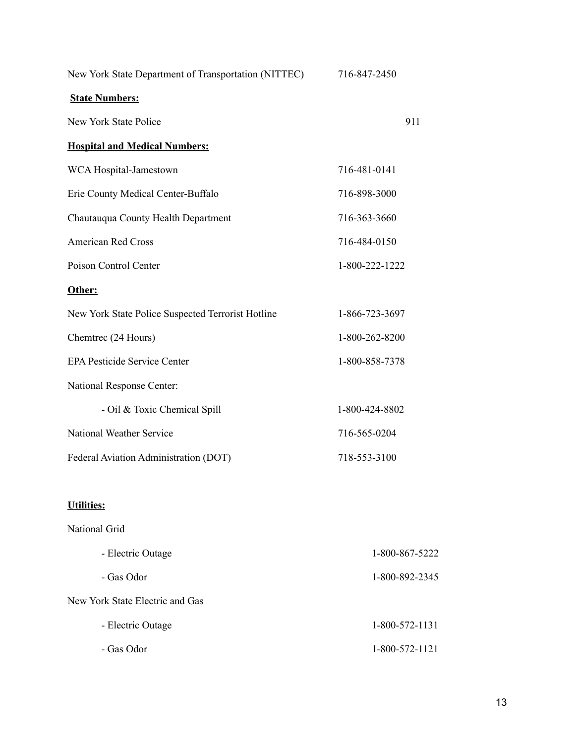| New York State Department of Transportation (NITTEC) | 716-847-2450   |  |
|------------------------------------------------------|----------------|--|
| <b>State Numbers:</b>                                |                |  |
| New York State Police                                | 911            |  |
| <b>Hospital and Medical Numbers:</b>                 |                |  |
| WCA Hospital-Jamestown                               | 716-481-0141   |  |
| Erie County Medical Center-Buffalo                   | 716-898-3000   |  |
| Chautauqua County Health Department                  | 716-363-3660   |  |
| <b>American Red Cross</b>                            | 716-484-0150   |  |
| Poison Control Center                                | 1-800-222-1222 |  |
| Other:                                               |                |  |
| New York State Police Suspected Terrorist Hotline    | 1-866-723-3697 |  |
| Chemtrec (24 Hours)                                  | 1-800-262-8200 |  |
| <b>EPA Pesticide Service Center</b>                  | 1-800-858-7378 |  |
| National Response Center:                            |                |  |
| - Oil & Toxic Chemical Spill                         | 1-800-424-8802 |  |
| <b>National Weather Service</b>                      | 716-565-0204   |  |
| Federal Aviation Administration (DOT)                | 718-553-3100   |  |
| <b>Utilities:</b>                                    |                |  |
| National Grid                                        |                |  |
| - Electric Outage                                    | 1-800-867-5222 |  |
| - Gas Odor                                           | 1-800-892-2345 |  |
| New York State Electric and Gas                      |                |  |
| - Electric Outage                                    | 1-800-572-1131 |  |
| - Gas Odor                                           | 1-800-572-1121 |  |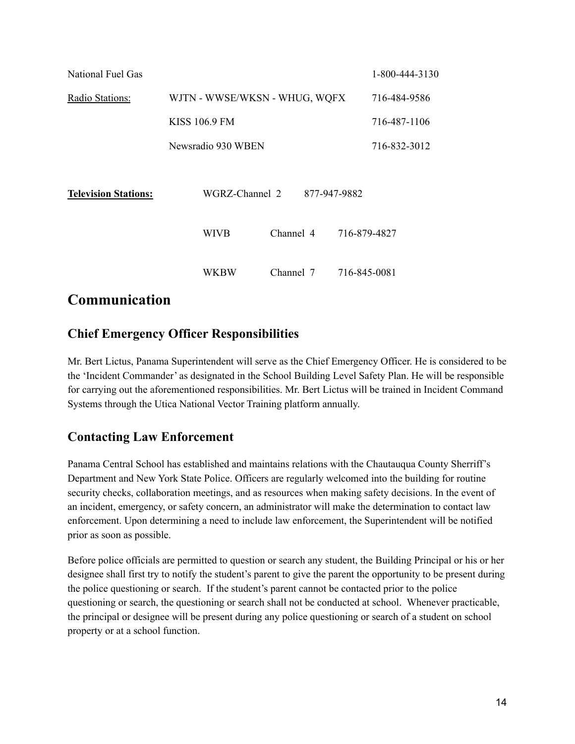| National Fuel Gas           |                               |              | 1-800-444-3130 |
|-----------------------------|-------------------------------|--------------|----------------|
| Radio Stations:             | WJTN - WWSE/WKSN - WHUG, WQFX | 716-484-9586 |                |
|                             | <b>KISS 106.9 FM</b>          |              | 716-487-1106   |
|                             | Newsradio 930 WBEN            |              | 716-832-3012   |
| <b>Television Stations:</b> | WGRZ-Channel 2                | 877-947-9882 |                |
|                             | Channel 4<br>WIVB             |              | 716-879-4827   |
|                             | WKBW<br>Channel 7             |              | 716-845-0081   |

## <span id="page-13-0"></span>**Communication**

## <span id="page-13-1"></span>**Chief Emergency Officer Responsibilities**

Mr. Bert Lictus, Panama Superintendent will serve as the Chief Emergency Officer. He is considered to be the 'Incident Commander' as designated in the School Building Level Safety Plan. He will be responsible for carrying out the aforementioned responsibilities. Mr. Bert Lictus will be trained in Incident Command Systems through the Utica National Vector Training platform annually.

## <span id="page-13-2"></span>**Contacting Law Enforcement**

Panama Central School has established and maintains relations with the Chautauqua County Sherriff's Department and New York State Police. Officers are regularly welcomed into the building for routine security checks, collaboration meetings, and as resources when making safety decisions. In the event of an incident, emergency, or safety concern, an administrator will make the determination to contact law enforcement. Upon determining a need to include law enforcement, the Superintendent will be notified prior as soon as possible.

Before police officials are permitted to question or search any student, the Building Principal or his or her designee shall first try to notify the student's parent to give the parent the opportunity to be present during the police questioning or search. If the student's parent cannot be contacted prior to the police questioning or search, the questioning or search shall not be conducted at school. Whenever practicable, the principal or designee will be present during any police questioning or search of a student on school property or at a school function.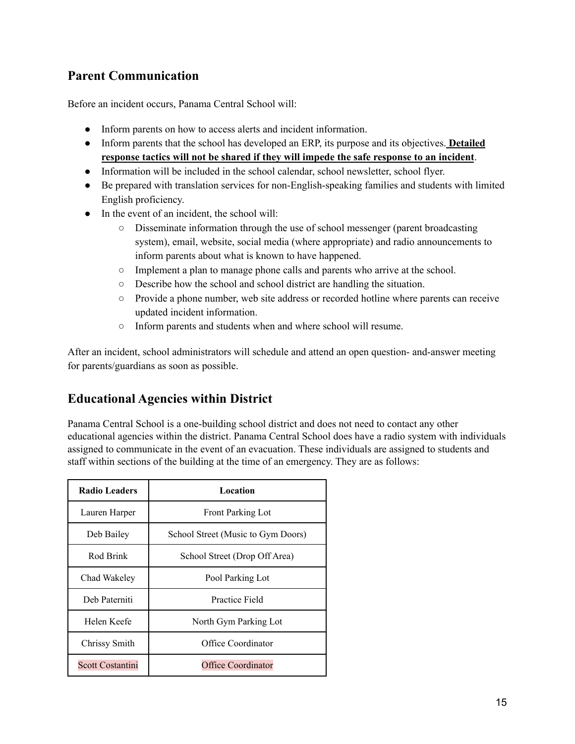## <span id="page-14-0"></span>**Parent Communication**

Before an incident occurs, Panama Central School will:

- Inform parents on how to access alerts and incident information.
- Inform parents that the school has developed an ERP, its purpose and its objectives. **Detailed response tactics will not be shared if they will impede the safe response to an incident**.
- Information will be included in the school calendar, school newsletter, school flyer.
- Be prepared with translation services for non-English-speaking families and students with limited English proficiency.
- In the event of an incident, the school will:
	- Disseminate information through the use of school messenger (parent broadcasting system), email, website, social media (where appropriate) and radio announcements to inform parents about what is known to have happened.
	- Implement a plan to manage phone calls and parents who arrive at the school.
	- Describe how the school and school district are handling the situation.
	- Provide a phone number, web site address or recorded hotline where parents can receive updated incident information.
	- Inform parents and students when and where school will resume.

After an incident, school administrators will schedule and attend an open question- and-answer meeting for parents/guardians as soon as possible.

## <span id="page-14-1"></span>**Educational Agencies within District**

Panama Central School is a one-building school district and does not need to contact any other educational agencies within the district. Panama Central School does have a radio system with individuals assigned to communicate in the event of an evacuation. These individuals are assigned to students and staff within sections of the building at the time of an emergency. They are as follows:

| <b>Radio Leaders</b>    | Location                           |
|-------------------------|------------------------------------|
| Lauren Harper           | <b>Front Parking Lot</b>           |
| Deb Bailey              | School Street (Music to Gym Doors) |
| Rod Brink               | School Street (Drop Off Area)      |
| Chad Wakeley            | Pool Parking Lot                   |
| Deb Paterniti           | Practice Field                     |
| Helen Keefe             | North Gym Parking Lot              |
| Chrissy Smith           | Office Coordinator                 |
| <b>Scott Costantini</b> | <b>Office Coordinator</b>          |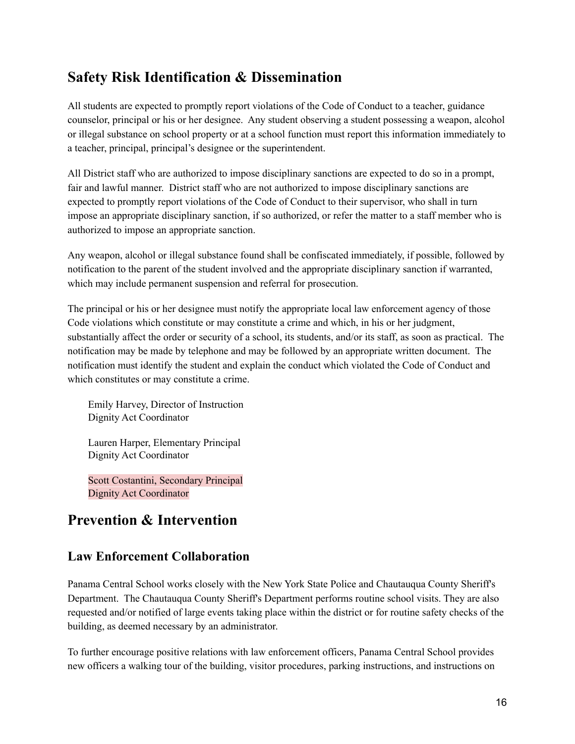## <span id="page-15-0"></span>**Safety Risk Identification & Dissemination**

All students are expected to promptly report violations of the Code of Conduct to a teacher, guidance counselor, principal or his or her designee. Any student observing a student possessing a weapon, alcohol or illegal substance on school property or at a school function must report this information immediately to a teacher, principal, principal's designee or the superintendent.

All District staff who are authorized to impose disciplinary sanctions are expected to do so in a prompt, fair and lawful manner. District staff who are not authorized to impose disciplinary sanctions are expected to promptly report violations of the Code of Conduct to their supervisor, who shall in turn impose an appropriate disciplinary sanction, if so authorized, or refer the matter to a staff member who is authorized to impose an appropriate sanction.

Any weapon, alcohol or illegal substance found shall be confiscated immediately, if possible, followed by notification to the parent of the student involved and the appropriate disciplinary sanction if warranted, which may include permanent suspension and referral for prosecution.

The principal or his or her designee must notify the appropriate local law enforcement agency of those Code violations which constitute or may constitute a crime and which, in his or her judgment, substantially affect the order or security of a school, its students, and/or its staff, as soon as practical. The notification may be made by telephone and may be followed by an appropriate written document. The notification must identify the student and explain the conduct which violated the Code of Conduct and which constitutes or may constitute a crime.

Emily Harvey, Director of Instruction Dignity Act Coordinator

Lauren Harper, Elementary Principal Dignity Act Coordinator

Scott Costantini, Secondary Principal Dignity Act Coordinator

## <span id="page-15-1"></span>**Prevention & Intervention**

## <span id="page-15-2"></span>**Law Enforcement Collaboration**

Panama Central School works closely with the New York State Police and Chautauqua County Sheriff's Department. The Chautauqua County Sheriff's Department performs routine school visits. They are also requested and/or notified of large events taking place within the district or for routine safety checks of the building, as deemed necessary by an administrator.

To further encourage positive relations with law enforcement officers, Panama Central School provides new officers a walking tour of the building, visitor procedures, parking instructions, and instructions on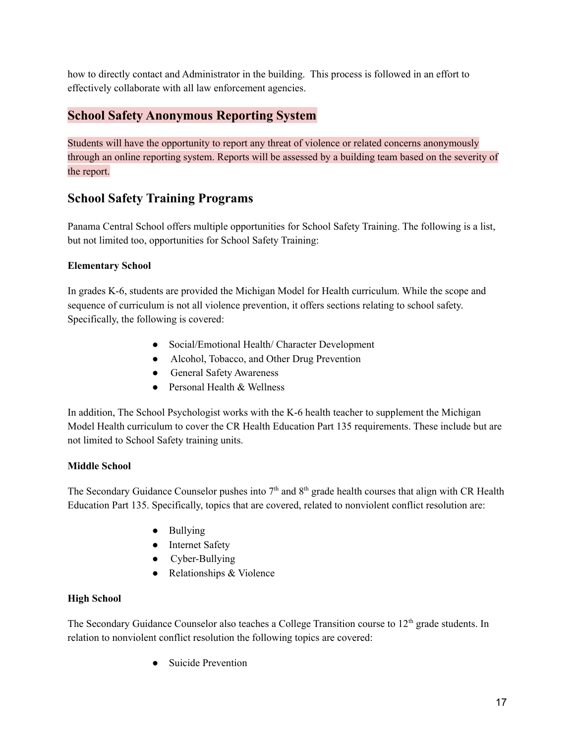how to directly contact and Administrator in the building. This process is followed in an effort to effectively collaborate with all law enforcement agencies.

## <span id="page-16-0"></span>**School Safety Anonymous Reporting System**

Students will have the opportunity to report any threat of violence or related concerns anonymously through an online reporting system. Reports will be assessed by a building team based on the severity of the report.

## **School Safety Training Programs**

Panama Central School offers multiple opportunities for School Safety Training. The following is a list, but not limited too, opportunities for School Safety Training:

## **Elementary School**

In grades K-6, students are provided the Michigan Model for Health curriculum. While the scope and sequence of curriculum is not all violence prevention, it offers sections relating to school safety. Specifically, the following is covered:

- Social/Emotional Health/ Character Development
- Alcohol, Tobacco, and Other Drug Prevention
- General Safety Awareness
- Personal Health & Wellness

In addition, The School Psychologist works with the K-6 health teacher to supplement the Michigan Model Health curriculum to cover the CR Health Education Part 135 requirements. These include but are not limited to School Safety training units.

## **Middle School**

The Secondary Guidance Counselor pushes into  $7<sup>th</sup>$  and  $8<sup>th</sup>$  grade health courses that align with CR Health Education Part 135. Specifically, topics that are covered, related to nonviolent conflict resolution are:

- Bullying
- Internet Safety
- Cyber-Bullying
- Relationships & Violence

## **High School**

The Secondary Guidance Counselor also teaches a College Transition course to 12<sup>th</sup> grade students. In relation to nonviolent conflict resolution the following topics are covered:

● Suicide Prevention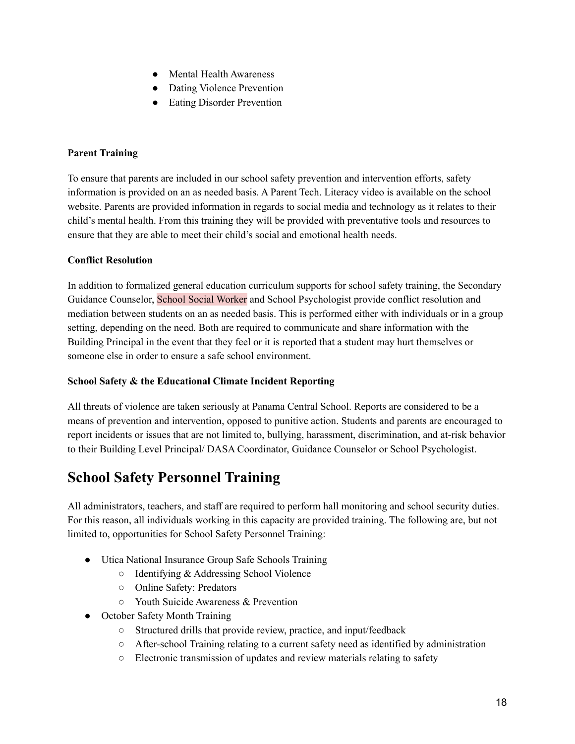- Mental Health Awareness
- Dating Violence Prevention
- Eating Disorder Prevention

#### **Parent Training**

To ensure that parents are included in our school safety prevention and intervention efforts, safety information is provided on an as needed basis. A Parent Tech. Literacy video is available on the school website. Parents are provided information in regards to social media and technology as it relates to their child's mental health. From this training they will be provided with preventative tools and resources to ensure that they are able to meet their child's social and emotional health needs.

#### **Conflict Resolution**

In addition to formalized general education curriculum supports for school safety training, the Secondary Guidance Counselor, School Social Worker and School Psychologist provide conflict resolution and mediation between students on an as needed basis. This is performed either with individuals or in a group setting, depending on the need. Both are required to communicate and share information with the Building Principal in the event that they feel or it is reported that a student may hurt themselves or someone else in order to ensure a safe school environment.

#### **School Safety & the Educational Climate Incident Reporting**

All threats of violence are taken seriously at Panama Central School. Reports are considered to be a means of prevention and intervention, opposed to punitive action. Students and parents are encouraged to report incidents or issues that are not limited to, bullying, harassment, discrimination, and at-risk behavior to their Building Level Principal/ DASA Coordinator, Guidance Counselor or School Psychologist.

## <span id="page-17-0"></span>**School Safety Personnel Training**

All administrators, teachers, and staff are required to perform hall monitoring and school security duties. For this reason, all individuals working in this capacity are provided training. The following are, but not limited to, opportunities for School Safety Personnel Training:

- Utica National Insurance Group Safe Schools Training
	- Identifying & Addressing School Violence
	- Online Safety: Predators
	- Youth Suicide Awareness & Prevention
- October Safety Month Training
	- Structured drills that provide review, practice, and input/feedback
	- After-school Training relating to a current safety need as identified by administration
	- Electronic transmission of updates and review materials relating to safety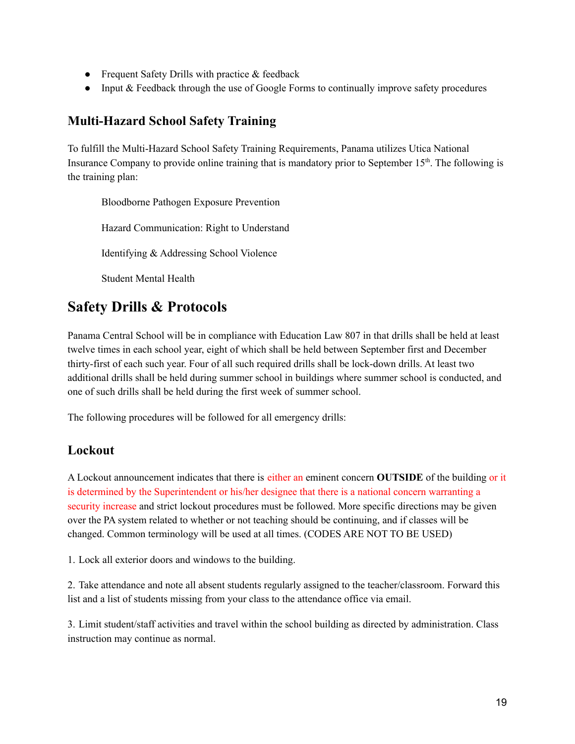- Frequent Safety Drills with practice  $&$  feedback
- Input & Feedback through the use of Google Forms to continually improve safety procedures

## <span id="page-18-0"></span>**Multi-Hazard School Safety Training**

To fulfill the Multi-Hazard School Safety Training Requirements, Panama utilizes Utica National Insurance Company to provide online training that is mandatory prior to September 15<sup>th</sup>. The following is the training plan:

Bloodborne Pathogen Exposure Prevention Hazard Communication: Right to Understand Identifying & Addressing School Violence Student Mental Health

## <span id="page-18-1"></span>**Safety Drills & Protocols**

Panama Central School will be in compliance with Education Law 807 in that drills shall be held at least twelve times in each school year, eight of which shall be held between September first and December thirty-first of each such year. Four of all such required drills shall be lock-down drills. At least two additional drills shall be held during summer school in buildings where summer school is conducted, and one of such drills shall be held during the first week of summer school.

The following procedures will be followed for all emergency drills:

## <span id="page-18-2"></span>**Lockout**

A Lockout announcement indicates that there is either an eminent concern **OUTSIDE** of the building or it is determined by the Superintendent or his/her designee that there is a national concern warranting a security increase and strict lockout procedures must be followed. More specific directions may be given over the PA system related to whether or not teaching should be continuing, and if classes will be changed. Common terminology will be used at all times. (CODES ARE NOT TO BE USED)

1. Lock all exterior doors and windows to the building.

2. Take attendance and note all absent students regularly assigned to the teacher/classroom. Forward this list and a list of students missing from your class to the attendance office via email.

3. Limit student/staff activities and travel within the school building as directed by administration. Class instruction may continue as normal.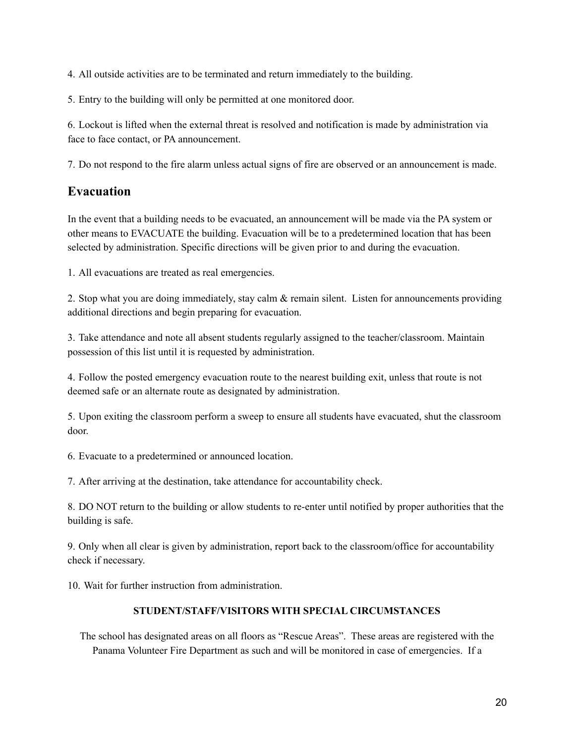4. All outside activities are to be terminated and return immediately to the building.

5. Entry to the building will only be permitted at one monitored door.

6. Lockout is lifted when the external threat is resolved and notification is made by administration via face to face contact, or PA announcement.

7. Do not respond to the fire alarm unless actual signs of fire are observed or an announcement is made.

## <span id="page-19-0"></span>**Evacuation**

In the event that a building needs to be evacuated, an announcement will be made via the PA system or other means to EVACUATE the building. Evacuation will be to a predetermined location that has been selected by administration. Specific directions will be given prior to and during the evacuation.

1. All evacuations are treated as real emergencies.

2. Stop what you are doing immediately, stay calm & remain silent. Listen for announcements providing additional directions and begin preparing for evacuation.

3. Take attendance and note all absent students regularly assigned to the teacher/classroom. Maintain possession of this list until it is requested by administration.

4. Follow the posted emergency evacuation route to the nearest building exit, unless that route is not deemed safe or an alternate route as designated by administration.

5. Upon exiting the classroom perform a sweep to ensure all students have evacuated, shut the classroom door.

6. Evacuate to a predetermined or announced location.

7. After arriving at the destination, take attendance for accountability check.

8. DO NOT return to the building or allow students to re-enter until notified by proper authorities that the building is safe.

9. Only when all clear is given by administration, report back to the classroom/office for accountability check if necessary.

10. Wait for further instruction from administration.

#### **STUDENT/STAFF/VISITORS WITH SPECIAL CIRCUMSTANCES**

The school has designated areas on all floors as "Rescue Areas". These areas are registered with the Panama Volunteer Fire Department as such and will be monitored in case of emergencies. If a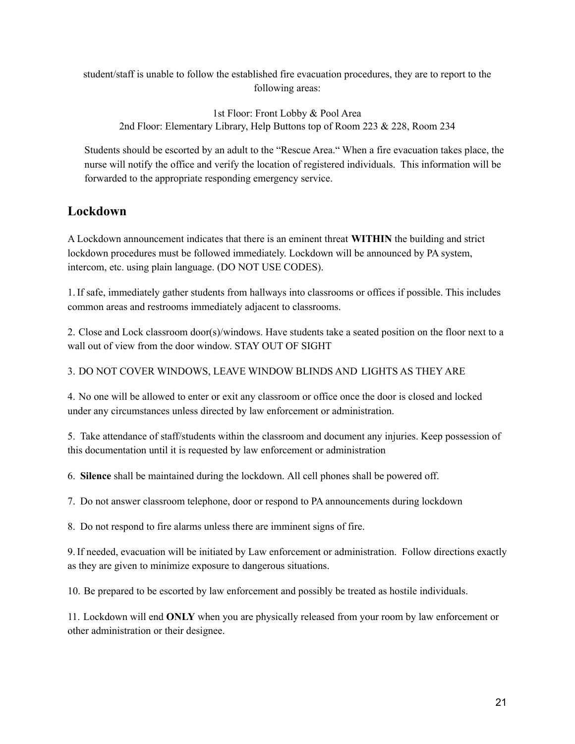student/staff is unable to follow the established fire evacuation procedures, they are to report to the following areas:

1st Floor: Front Lobby & Pool Area 2nd Floor: Elementary Library, Help Buttons top of Room 223 & 228, Room 234

Students should be escorted by an adult to the "Rescue Area." When a fire evacuation takes place, the nurse will notify the office and verify the location of registered individuals. This information will be forwarded to the appropriate responding emergency service.

## <span id="page-20-0"></span>**Lockdown**

A Lockdown announcement indicates that there is an eminent threat **WITHIN** the building and strict lockdown procedures must be followed immediately. Lockdown will be announced by PA system, intercom, etc. using plain language. (DO NOT USE CODES).

1.If safe, immediately gather students from hallways into classrooms or offices if possible. This includes common areas and restrooms immediately adjacent to classrooms.

2. Close and Lock classroom door(s)/windows. Have students take a seated position on the floor next to a wall out of view from the door window. STAY OUT OF SIGHT

3. DO NOT COVER WINDOWS, LEAVE WINDOW BLINDS AND LIGHTS AS THEY ARE

4. No one will be allowed to enter or exit any classroom or office once the door is closed and locked under any circumstances unless directed by law enforcement or administration.

5. Take attendance of staff/students within the classroom and document any injuries. Keep possession of this documentation until it is requested by law enforcement or administration

6. **Silence** shall be maintained during the lockdown. All cell phones shall be powered off.

7. Do not answer classroom telephone, door or respond to PA announcements during lockdown

8. Do not respond to fire alarms unless there are imminent signs of fire.

9.If needed, evacuation will be initiated by Law enforcement or administration. Follow directions exactly as they are given to minimize exposure to dangerous situations.

10. Be prepared to be escorted by law enforcement and possibly be treated as hostile individuals.

11. Lockdown will end **ONLY** when you are physically released from your room by law enforcement or other administration or their designee.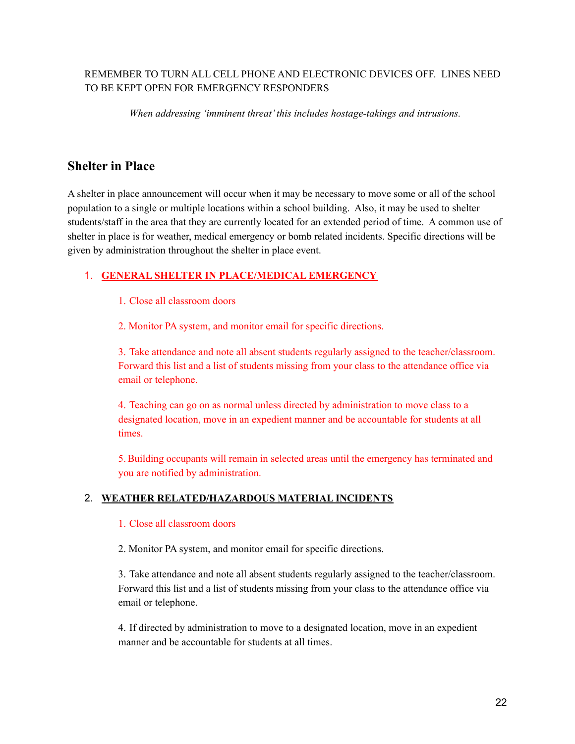## REMEMBER TO TURN ALL CELL PHONE AND ELECTRONIC DEVICES OFF. LINES NEED TO BE KEPT OPEN FOR EMERGENCY RESPONDERS

*When addressing 'imminent threat'this includes hostage-takings and intrusions.*

## **Shelter in Place**

A shelter in place announcement will occur when it may be necessary to move some or all of the school population to a single or multiple locations within a school building. Also, it may be used to shelter students/staff in the area that they are currently located for an extended period of time. A common use of shelter in place is for weather, medical emergency or bomb related incidents. Specific directions will be given by administration throughout the shelter in place event.

## 1. **GENERAL SHELTER IN PLACE/MEDICAL EMERGENCY**

1. Close all classroom doors

2. Monitor PA system, and monitor email for specific directions.

3. Take attendance and note all absent students regularly assigned to the teacher/classroom. Forward this list and a list of students missing from your class to the attendance office via email or telephone.

4. Teaching can go on as normal unless directed by administration to move class to a designated location, move in an expedient manner and be accountable for students at all times.

5.Building occupants will remain in selected areas until the emergency has terminated and you are notified by administration.

#### 2. **WEATHER RELATED/HAZARDOUS MATERIAL INCIDENTS**

#### 1. Close all classroom doors

2. Monitor PA system, and monitor email for specific directions.

3. Take attendance and note all absent students regularly assigned to the teacher/classroom. Forward this list and a list of students missing from your class to the attendance office via email or telephone.

4. If directed by administration to move to a designated location, move in an expedient manner and be accountable for students at all times.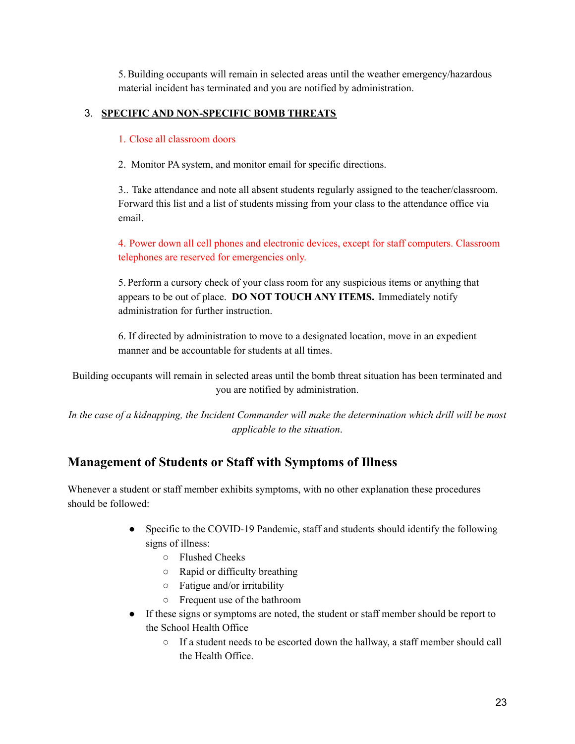5.Building occupants will remain in selected areas until the weather emergency/hazardous material incident has terminated and you are notified by administration.

## 3. **SPECIFIC AND NON-SPECIFIC BOMB THREATS**

1. Close all classroom doors

2. Monitor PA system, and monitor email for specific directions.

3.. Take attendance and note all absent students regularly assigned to the teacher/classroom. Forward this list and a list of students missing from your class to the attendance office via email.

4. Power down all cell phones and electronic devices, except for staff computers. Classroom telephones are reserved for emergencies only.

5. Perform a cursory check of your class room for any suspicious items or anything that appears to be out of place. **DO NOT TOUCH ANY ITEMS.** Immediately notify administration for further instruction.

6. If directed by administration to move to a designated location, move in an expedient manner and be accountable for students at all times.

Building occupants will remain in selected areas until the bomb threat situation has been terminated and you are notified by administration.

In the case of a kidnapping, the Incident Commander will make the determination which drill will be most *applicable to the situation*.

## <span id="page-22-0"></span>**Management of Students or Staff with Symptoms of Illness**

Whenever a student or staff member exhibits symptoms, with no other explanation these procedures should be followed:

- Specific to the COVID-19 Pandemic, staff and students should identify the following signs of illness:
	- Flushed Cheeks
	- Rapid or difficulty breathing
	- Fatigue and/or irritability
	- Frequent use of the bathroom
- If these signs or symptoms are noted, the student or staff member should be report to the School Health Office
	- If a student needs to be escorted down the hallway, a staff member should call the Health Office.